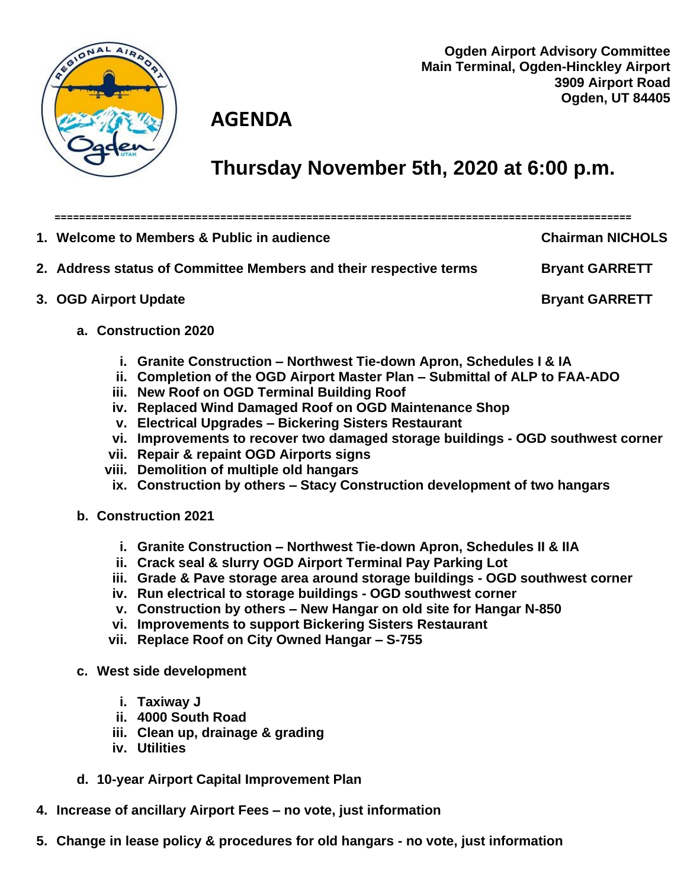

**Ogden Airport Advisory Committee Main Terminal, Ogden-Hinckley Airport 3909 Airport Road Ogden, UT 84405**

**==============================================================================================**

## **AGENDA**

## **Thursday November 5th, 2020 at 6:00 p.m.**

**1. Welcome to Members & Public in audience Chairman NICHOLS 2. Address status of Committee Members and their respective terms Bryant GARRETT 3. OGD Airport Update Bryant GARRETT a. Construction 2020**

- **i. Granite Construction – Northwest Tie-down Apron, Schedules I & IA**
- **ii. Completion of the OGD Airport Master Plan – Submittal of ALP to FAA-ADO**
- **iii. New Roof on OGD Terminal Building Roof**
- **iv. Replaced Wind Damaged Roof on OGD Maintenance Shop**
- **v. Electrical Upgrades – Bickering Sisters Restaurant**
- **vi. Improvements to recover two damaged storage buildings - OGD southwest corner**
- **vii. Repair & repaint OGD Airports signs**
- **viii. Demolition of multiple old hangars**
	- **ix. Construction by others – Stacy Construction development of two hangars**
- **b. Construction 2021**
	- **i. Granite Construction – Northwest Tie-down Apron, Schedules II & IIA**
	- **ii. Crack seal & slurry OGD Airport Terminal Pay Parking Lot**
	- **iii. Grade & Pave storage area around storage buildings - OGD southwest corner**
	- **iv. Run electrical to storage buildings - OGD southwest corner**
	- **v. Construction by others – New Hangar on old site for Hangar N-850**
	- **vi. Improvements to support Bickering Sisters Restaurant**
	- **vii. Replace Roof on City Owned Hangar – S-755**
- **c. West side development**
	- **i. Taxiway J**
	- **ii. 4000 South Road**
	- **iii. Clean up, drainage & grading**
	- **iv. Utilities**
- **d. 10-year Airport Capital Improvement Plan**
- **4. Increase of ancillary Airport Fees – no vote, just information**
- **5. Change in lease policy & procedures for old hangars - no vote, just information**